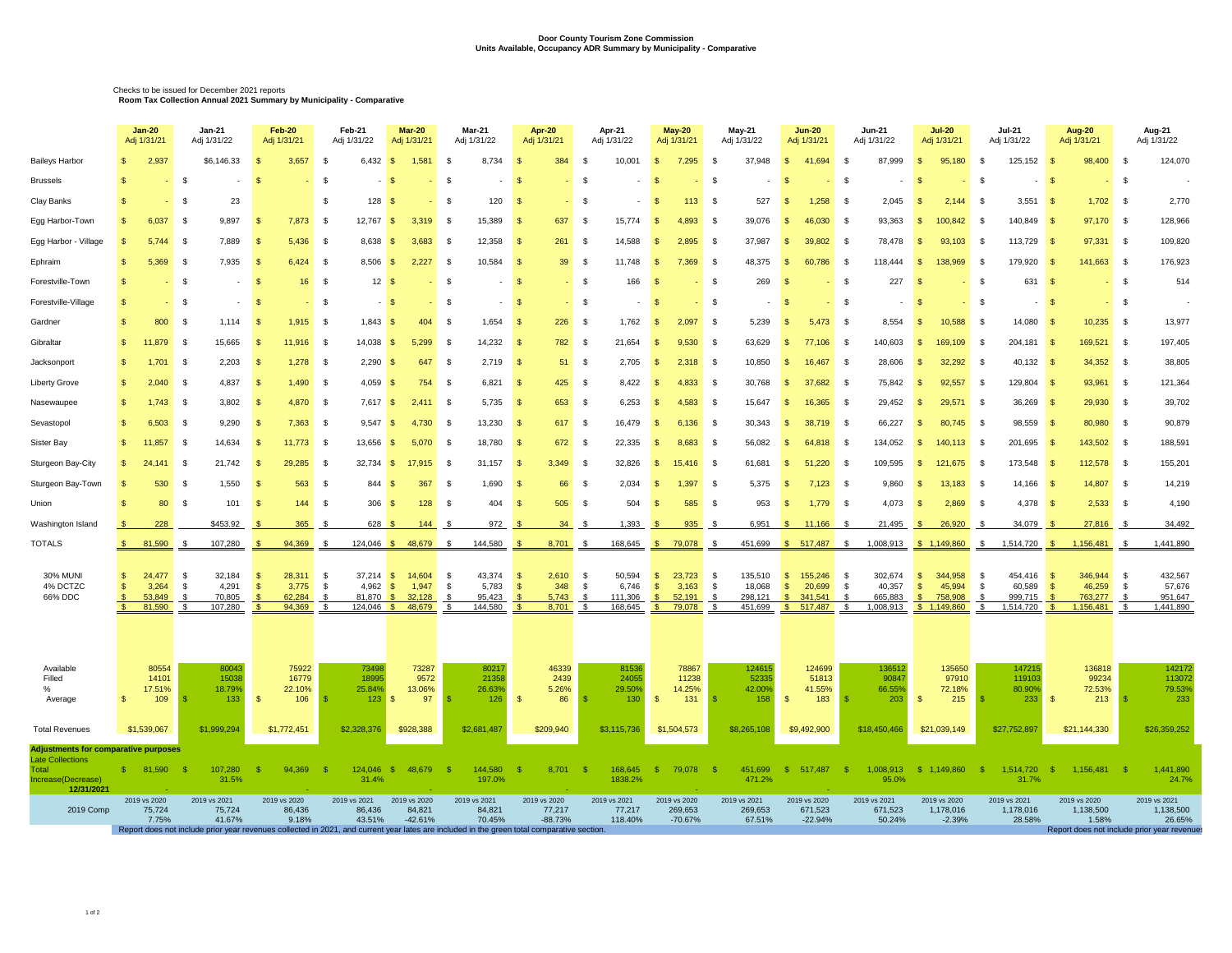## **Door County Tourism Zone Commission Units Available, Occupancy ADR Summary by Municipality - Comparative**

Checks to be issued for December 2021 reports **Room Tax Collection Annual 2021 Summary by Municipality - Comparative** 

|                                                                        |                                                                                                                                                                                           | Jan-20<br>Adj 1/31/21           | Jan-21<br>Adj 1/31/22                   | Feb-20<br>Adj 1/31/21                                    | Feb-21<br>Adj 1/31/22 |                       | <b>Mar-20</b><br>Adj 1/31/21                      | Mar-21<br>Adj 1/31/22            | Apr-20<br>Adj 1/31/21               | Apr-21<br>Adj 1/31/22                    | May-20<br>Adj 1/31/21              | May-21<br>Adj 1/31/22                  | <b>Jun-20</b><br>Adj 1/31/21          | Jun-21<br>Adj 1/31/22                                        | <b>Jul-20</b><br>Adj 1/31/21             | Jul-21<br>Adj 1/31/22                 | Aug-20<br>Adj 1/31/21                   | Aug-21<br>Adj 1/31/22               |
|------------------------------------------------------------------------|-------------------------------------------------------------------------------------------------------------------------------------------------------------------------------------------|---------------------------------|-----------------------------------------|----------------------------------------------------------|-----------------------|-----------------------|---------------------------------------------------|----------------------------------|-------------------------------------|------------------------------------------|------------------------------------|----------------------------------------|---------------------------------------|--------------------------------------------------------------|------------------------------------------|---------------------------------------|-----------------------------------------|-------------------------------------|
| <b>Baileys Harbor</b>                                                  | $\mathbf{s}$                                                                                                                                                                              | 2,937                           | \$6,146.33                              | 3.657                                                    | - \$                  |                       | 6.432 \$ 1.581                                    | 8,734<br><b>S</b>                | 384                                 | 10,001<br>- \$                           | 7,295<br>S                         | 37,948<br>$\mathcal{F}$                | \$ 41,694                             | 87.999<br>$\mathbf{s}$                                       | 95,180<br>$\mathbf{S}$                   | 125,152<br><b>S</b>                   | 98,400<br>∣ SS                          | 124,070<br>- \$                     |
| <b>Brussels</b>                                                        | $\mathbf{s}$                                                                                                                                                                              |                                 | - \$                                    |                                                          | $-$ \$                |                       |                                                   | - \$                             |                                     | - \$                                     | $-8$                               |                                        |                                       | - \$                                                         |                                          | $-$ \$                                |                                         | $-5$                                |
| Clay Banks                                                             | -\$                                                                                                                                                                                       | <b>Service</b>                  | 23<br>- 35                              |                                                          | - \$                  | 128S                  | <b>Contract</b>                                   | 120<br>- \$                      |                                     | - \$                                     | 113<br>$-5$                        | 527<br>- \$                            | $1,258$ \$<br><b>S</b>                | 2,045                                                        | 2,144<br>- 55                            | $3,551$ \$<br>- \$                    | $1,702$ \$                              | 2,770                               |
| Egg Harbor-Town                                                        | $\mathbf{s}$                                                                                                                                                                              | 6,037 \$                        | 9,897                                   | 7,873 \$<br>∣\$                                          |                       | $12,767$ \$           | $3,319$ \$                                        | 15,389                           | 637                                 | $15,774$ \$<br>- \$                      | $4,893$ \$                         | 39,076                                 | 46,030 \$<br>- \$                     | 93,363                                                       | 100,842 \$<br>- S                        | 140,849 \$                            | 97,170 \$                               | 128,966                             |
| Egg Harbor - Village                                                   | - \$                                                                                                                                                                                      | 5,744                           | 7,889<br>- \$                           | $5,436$ \$<br>$\mathcal{S}$                              |                       | $8,638$ \$            | 3,683                                             | 12,358<br>- \$                   | 261                                 | 14,588<br>- \$                           | 2,895<br>$\mathbf{s}$              | 37,987<br>- \$                         | 39,802 \$<br>- \$                     | 78,478                                                       | 93,103                                   | $113,729$ \$<br>- \$                  | 97,331 \$                               | 109,820                             |
| Ephraim                                                                | -S                                                                                                                                                                                        | 5,369                           | 7,935<br>- \$                           | $6,424$ \$<br>- \$                                       |                       | $8,506$ \$            | 2,227                                             | 10,584<br>- \$                   | 39                                  | 11,748<br>- \$                           | 7,369<br>$\sqrt{s}$                | 48,375                                 | <b>S</b><br>60,786 \$                 | 118,444                                                      | 138,969<br>-SS                           | 179,920<br>- S                        | 141,663                                 | 176,923<br>- \$                     |
| Forestville-Town                                                       | ∣\$                                                                                                                                                                                       | <b>Service</b>                  | $\sim$<br>- S                           | <b>S</b>                                                 | 16S                   | 12S                   | <b>Section</b>                                    | - \$<br>$\sim$                   |                                     | 166<br>$-$ \$                            | <b>S</b>                           | 269<br>- \$                            |                                       | 227<br>$-$ \$                                                | <b>Section</b>                           | 631 \$                                | $-$ \$                                  | 514                                 |
| Forestville-Village                                                    | - \$                                                                                                                                                                                      | <b>Service</b>                  | $\sim$<br>- S                           | ∣\$                                                      | $-$ \$                | $-$ S                 | <b>Contract</b>                                   | - \$<br>$\sim$                   |                                     | $-$ \$                                   | $\sim$ $\sim$                      | $-$ \$                                 | $-$ \$                                | $-5$<br>$\sim$                                               |                                          | $-$ \$<br>$- S$                       | $-5$                                    | $\sim$                              |
| Gardner                                                                |                                                                                                                                                                                           | 800                             | 1,114                                   | $1,915$ \$                                               |                       | $1,843$ \$            | 404                                               | 1,654                            | 226                                 | 1,762                                    | 2,097<br>$\sqrt{S}$                | 5,239                                  | $5,473$ \$<br>- S                     | 8,554                                                        | 10,588                                   | 14,080                                | $10,235$ \$                             | 13,977                              |
| Gibraltar                                                              | - SS                                                                                                                                                                                      | 11,879                          | 15,665<br>IS.                           | 11,916 \$<br>∣S.                                         |                       | $14,038$ \$           | 5,299                                             | 14,232<br>- \$                   | 782                                 | 21,654<br>- \$                           | 9,530<br>$\mathsf{s}$              | 63,629<br>- \$                         | 77,106 \$<br>S.                       | 140,603                                                      | 169,109 \$<br>- 8                        | 204,181 \$                            | 169,521 \$                              | 197,405                             |
| Jacksonport                                                            | - \$                                                                                                                                                                                      | 1,701                           | 2,203                                   | $1,278$ \$                                               |                       | $2,290$ \$            | 647                                               | 2,719<br>- \$                    | 51                                  | 2,705<br>- \$                            | $\sqrt{S}$<br>$2,318$ \$           | 10,850                                 | 16,467 \$                             | 28,606                                                       | 32,292 \$                                | $40,132$ \$                           | 34,352 \$                               | 38,805                              |
| <b>Liberty Grove</b>                                                   | - \$                                                                                                                                                                                      | 2,040                           | 4,837<br>- S                            | $1,490$ \$<br>∣S.                                        |                       | $4,059$ \$            | 754 \$                                            | 6,821                            | 425                                 | 8,422<br>- \$                            | $4,833$ \$<br>S                    | 30,768                                 | 37,682 \$<br>- SS                     | 75,842                                                       | 92,557                                   | $129,804$ \$<br>- \$                  | 93,961 \$                               | 121,364                             |
| Nasewaupee                                                             |                                                                                                                                                                                           | 1,743                           | 3,802                                   | 4.870 \$                                                 |                       | $7.617$ $\textbf{\$}$ | $2,411$ \$                                        | 5,735                            | 653                                 | 6,253                                    | 4,583<br><b>S</b>                  | 15,647                                 | 16,365 \$                             | 29,452                                                       | 29,571                                   | 36,269                                | 29,930 \$                               | 39,702                              |
| Sevastopol                                                             |                                                                                                                                                                                           | 6,503                           | 9,290<br>- \$                           | $7,363$ \$                                               |                       |                       | $9,547$ \$ 4,730 \$                               | 13,230                           | 617                                 | 16,479 \$<br>- \$                        | 6,136                              | 30,343<br>- \$                         | 38,719 \$<br><b>S</b>                 | 66,227                                                       | 80,745                                   | 98,559                                | 80,980 \$                               | 90,879                              |
| Sister Bay                                                             | S.                                                                                                                                                                                        | $11,857$ \$                     | 14,634                                  | $11,773$ \$<br>- S                                       |                       |                       | 13,656 \$ 5,070 \$                                | 18,780                           | 672<br>- 86                         | 22,335<br>- \$                           | $\sqrt{S}$<br>8,683 \$             | 56,082                                 | 64,818 \$<br>S.                       | 134,052                                                      | 140,113 \$<br>- S                        | 201,695 \$                            | 143,502 \$                              | 188,591                             |
| Sturgeon Bay-City                                                      | -S                                                                                                                                                                                        | 24,141 \$                       | 21,742                                  | 29,285 \$                                                |                       |                       | 32,734 \$ 17,915 \$                               | 31,157                           | 3,349                               | 32,826<br>- \$                           | 15,416 \$<br>$\mathsf{s}$          | 61,681                                 | 51,220 \$<br>$\mathbb{S}$             | 109,595                                                      | 121,675 \$                               | 173,548 \$                            | 112,578 \$                              | 155,201                             |
| Sturgeon Bay-Town                                                      | S                                                                                                                                                                                         | 530                             | 1,550<br>- 56                           | 563 \$<br>- 55                                           |                       | 844S                  | 367 \$                                            | 1,690                            | 66                                  | 2,034<br>- 36                            | $1,397$ \$<br>∣S.                  | 5,375                                  | $7,123$ \$<br><b>S</b>                | 9,860                                                        | 13,183 \$<br>- 85                        | $14,166$ \$                           | 14,807 \$                               | 14,219                              |
| Union                                                                  | - \$                                                                                                                                                                                      | 80                              | 101<br>- \$                             | $144$ \$<br>S                                            |                       | 306 <sup>5</sup>      | $128$ \$                                          | 404                              | 505                                 | 504<br>- \$                              | 585<br>$\sqrt{3}$                  | 953<br>- \$                            | <b>S</b><br>$1,779$ \$                | 4,073                                                        | 2,869                                    | $4,378$ \$                            | $2,533$ \$                              | 4,190                               |
| Washington Island                                                      |                                                                                                                                                                                           | 228                             | \$453.92                                | 365 \$                                                   |                       | 628 \$                | 144S                                              | $972$ \$                         |                                     | $1,393$ \$<br>$34 \quad$ \$              | $935$ \$                           |                                        | 6,951 \$ 11,166 \$                    | $21,495$ \$                                                  | 26,920 \$                                | $34,079$ \$                           | 27,816 \$                               | 34,492                              |
| <b>TOTALS</b>                                                          |                                                                                                                                                                                           | 81,590                          | 107,280                                 | 94,369 \$                                                |                       |                       | 124,046 \$ 48,679 \$                              | 144,580                          | 8,701 \$                            |                                          | 168,645 \$ 79,078 \$               |                                        |                                       | 451,699 \$ 517,487 \$ 1,008,913 \$ 1,149,860 \$ 1,514,720 \$ |                                          |                                       | 1,156,481 \$                            | 1,441,890                           |
| <b>30% MUNI</b><br>4% DCTZC                                            | -SS-<br>$\mathbf{s}$                                                                                                                                                                      | 24,477<br>3,264                 | 32,184<br>$\mathbf{s}$<br>4,291<br>- \$ | 28,311 \$<br>$\mathcal{S}$<br>$3,775$ \$<br>$\mathbf{s}$ |                       |                       | 37,214 \$ 14,604 \$<br>4,962 \$ 1,947 \$          | 43,374<br>5,783                  | 2,610<br>- 56<br>348                | $^{\circ}$<br>6,746<br>$\mathbb{S}$      | 50,594 \$ 23,723 \$<br>$$3,163$ \$ | 18,068                                 | 135,510 \$ 155,246 \$<br>$$20,699$ \$ | 40,357                                                       | 302,674 \$ 344,958 \$<br>45,994 \$<br>S. | 454.416 \$<br>60.589                  | 346,944 \$<br>46,259                    | 432.567<br>57,676<br>- \$           |
| 66% DDC                                                                | $\sqrt{s}$<br>$\mathbf{S}$                                                                                                                                                                | 53,849<br>81,590                | 70,805<br>- \$<br>107,280<br>- S        | 62,284 \$<br>94,369                                      | $\mathbb{S}$          |                       | 81,870 \$ 32,128 \$<br>124,046 \$ 48,679          | 95,423<br>144,580<br>S .         | 5,743<br>8,701                      | 111,306<br>$\mathbb{S}$<br>168,645<br>\$ | \$52,191<br>\$79,078               | 298,121<br>\$<br>451,699<br>$\sqrt{s}$ | $$341,541$ \$<br>$$517,487$ \$        | 665,883                                                      | \$758,908<br>1,008,913 \$ 1,149,860      | 999,715<br>$^{\circ}$<br>\$ 1,514,720 | 763,277 \$<br>1,156,481<br>$\mathsf{s}$ | 951,647<br>1,441,890                |
|                                                                        |                                                                                                                                                                                           |                                 |                                         |                                                          |                       |                       |                                                   |                                  |                                     |                                          |                                    |                                        |                                       |                                                              |                                          |                                       |                                         |                                     |
| Available<br>Filled                                                    |                                                                                                                                                                                           | 80554<br>14101                  | 80043<br>15038                          | 75922<br>16779                                           |                       | 73498<br>18995        | 73287<br>9572                                     | 80217<br>21358                   | 46339<br>2439                       | 81536<br>24055                           | 78867<br>11238                     | 124615<br>52335                        | 124699<br>51813                       | 136512<br>90847                                              | 135650<br>97910                          | 147215<br>119103                      | 136818<br>99234                         | 142172<br>113072                    |
| $\frac{9}{6}$<br>Average                                               | - \$                                                                                                                                                                                      | 17.51%<br>109                   | 18.79%<br>133                           | 22.10%<br>106<br>$\mathbf{s}$                            |                       | 25.84%<br>$123$ \$    | 13.06%<br>97                                      | 26.63%<br>126                    | 5.26%<br>86<br>- SS                 | 29.50%<br>130S<br>∣\$.                   | 14.25%<br>131                      | 42.00%<br>158                          | 41.55%<br>183<br>$\mathbb{S}$         | 66.55%<br>$203$ \$<br>∣\$.                                   | 72.18%<br>$215$ $\sqrt{s}$               | 80.90%<br>$233$ $\frac{1}{3}$         | 72.53%                                  | 79.53%<br>233                       |
| <b>Total Revenues</b>                                                  |                                                                                                                                                                                           | \$1,539,067                     | \$1,999,294                             | \$1,772,451                                              | \$2,328,376           |                       | \$928,388                                         | \$2,681,487                      | \$209,940                           | \$3,115,736                              | \$1,504,573                        | \$8,265,108                            | \$9,492,900                           | \$18,450,466                                                 | \$21,039,149                             | \$27,752,897                          | \$21,144,330                            | \$26,359,252                        |
| <b>Adjustments for comparative purposes</b><br><b>Late Collections</b> |                                                                                                                                                                                           |                                 |                                         |                                                          |                       |                       |                                                   |                                  |                                     |                                          |                                    |                                        |                                       |                                                              |                                          |                                       |                                         |                                     |
| <b>Total</b><br>Increase(Decrease)<br>12/31/2021                       |                                                                                                                                                                                           | $$81.590$ \$                    | $107,280$ \$<br>31.5%                   | 94,369 \$                                                |                       | 31.4%                 | 124,046 \$ 48,679 \$                              | 144,580 \$<br>197.0%             | 8,701 \$                            | 1838.2%                                  | 168,645 \$ 79,078 \$               | 471.2%                                 |                                       | 451,699 \$ 517,487 \$ 1,008,913 \$ 1,149,860 \$<br>95.0%     |                                          | 31.7%                                 | 1,514,720 \$ 1,156,481 \$               | 1.441.890<br>24.7%                  |
| 2019 Comp                                                              |                                                                                                                                                                                           | 2019 vs 2020<br>75,724<br>7.75% | 2019 vs 2021<br>75,724<br>41.67%        | 2019 vs 2020<br>86,436<br>9.18%                          |                       | 86,436<br>43.51%      | 2019 vs 2021 2019 vs 2020<br>84,821<br>$-42.61\%$ | 2019 vs 2021<br>84,821<br>70.45% | 2019 vs 2020<br>77,217<br>$-88.73%$ | 2019 vs 2021<br>77,217<br>118.40%        | 2019 vs 2020<br>269,653<br>-70.67% | 2019 vs 2021<br>269,653<br>67.51%      | 2019 vs 2020<br>671,523<br>$-22.94%$  | 2019 vs 2021<br>671,523<br>50.24%                            | 2019 vs 2020<br>1,178,016<br>$-2.39%$    | 2019 vs 2021<br>1,178,016<br>28.58%   | 2019 vs 2020<br>1,138,500<br>1.58%      | 2019 vs 2021<br>1,138,500<br>26.65% |
|                                                                        | Report does not include prior year revenues collected in 2021, and current year lates are included in the green total comparative section.<br>Report does not include prior year revenues |                                 |                                         |                                                          |                       |                       |                                                   |                                  |                                     |                                          |                                    |                                        |                                       |                                                              |                                          |                                       |                                         |                                     |